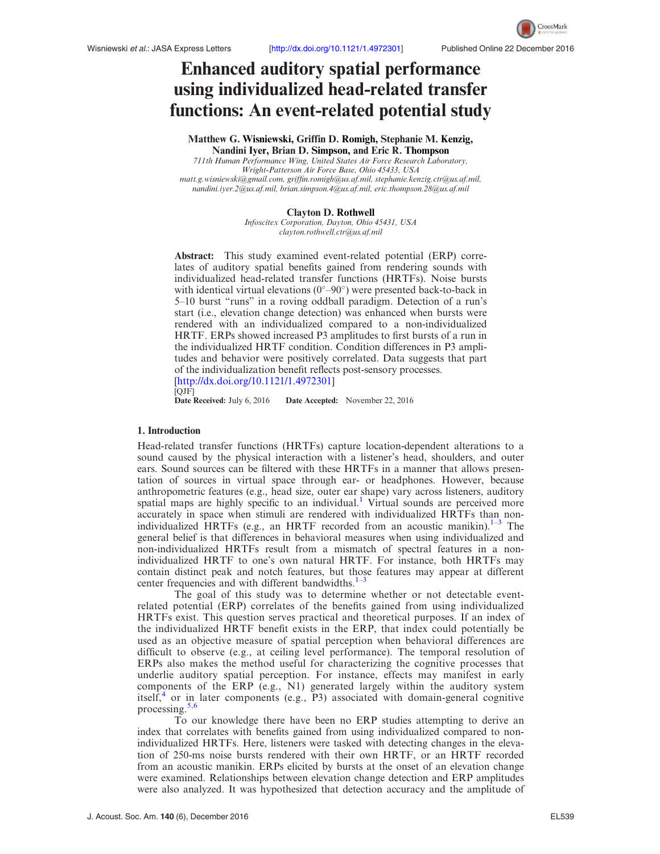

# Enhanced auditory spatial performance using individualized head-related transfer functions: An event-related potential study

Matthew G. Wisniewski, Griffin D. Romigh, Stephanie M. Kenzig, Nandini Iyer, Brian D. Simpson, and Eric R. Thompson 711th Human Performance Wing, United States Air Force Research Laboratory, Wright-Patterson Air Force Base, Ohio 45433, USA matt.g.wisniewski@gmail.com, griffin.romigh@us.af.mil, stephanie.kenzig.ctr@us.af.mil, nandini.iyer.2@us.af.mil, brian.simpson.4@us.af.mil, eric.thompson.28@us.af.mil

#### Clayton D. Rothwell

Infoscitex Corporation, Dayton, Ohio 45431, USA clayton.rothwell.ctr@us.af.mil

Abstract: This study examined event-related potential (ERP) correlates of auditory spatial benefits gained from rendering sounds with individualized head-related transfer functions (HRTFs). Noise bursts with identical virtual elevations  $(0°-90°)$  were presented back-to-back in 5–10 burst "runs" in a roving oddball paradigm. Detection of a run's start (i.e., elevation change detection) was enhanced when bursts were rendered with an individualized compared to a non-individualized HRTF. ERPs showed increased P3 amplitudes to first bursts of a run in the individualized HRTF condition. Condition differences in P3 amplitudes and behavior were positively correlated. Data suggests that part of the individualization benefit reflects post-sensory processes. [http://dx.doi.org/10.1121/1.4972301] [QJF]

Date Received: July 6, 2016 Date Accepted: November 22, 2016

# 1. Introduction

Head-related transfer functions (HRTFs) capture location-dependent alterations to a sound caused by the physical interaction with a listener's head, shoulders, and outer ears. Sound sources can be filtered with these HRTFs in a manner that allows presentation of sources in virtual space through ear- or headphones. However, because anthropometric features (e.g., head size, outer ear shape) vary across listeners, auditory spatial maps are highly specific to an individual.<sup>1</sup> Virtual sounds are perceived more accurately in space when stimuli are rendered with individualized HRTFs than nonindividualized HRTFs (e.g., an HRTF recorded from an acoustic manikin). $1-3$  The general belief is that differences in behavioral measures when using individualized and non-individualized HRTFs result from a mismatch of spectral features in a nonindividualized HRTF to one's own natural HRTF. For instance, both HRTFs may contain distinct peak and notch features, but those features may appear at different center frequencies and with different bandwidths. $1^{-3}$ 

The goal of this study was to determine whether or not detectable eventrelated potential (ERP) correlates of the benefits gained from using individualized HRTFs exist. This question serves practical and theoretical purposes. If an index of the individualized HRTF benefit exists in the ERP, that index could potentially be used as an objective measure of spatial perception when behavioral differences are difficult to observe (e.g., at ceiling level performance). The temporal resolution of ERPs also makes the method useful for characterizing the cognitive processes that underlie auditory spatial perception. For instance, effects may manifest in early components of the ERP (e.g., N1) generated largely within the auditory system itself, $4$  or in later components (e.g., P3) associated with domain-general cognitive processing.<sup>5,6</sup>

To our knowledge there have been no ERP studies attempting to derive an index that correlates with benefits gained from using individualized compared to nonindividualized HRTFs. Here, listeners were tasked with detecting changes in the elevation of 250-ms noise bursts rendered with their own HRTF, or an HRTF recorded from an acoustic manikin. ERPs elicited by bursts at the onset of an elevation change were examined. Relationships between elevation change detection and ERP amplitudes were also analyzed. It was hypothesized that detection accuracy and the amplitude of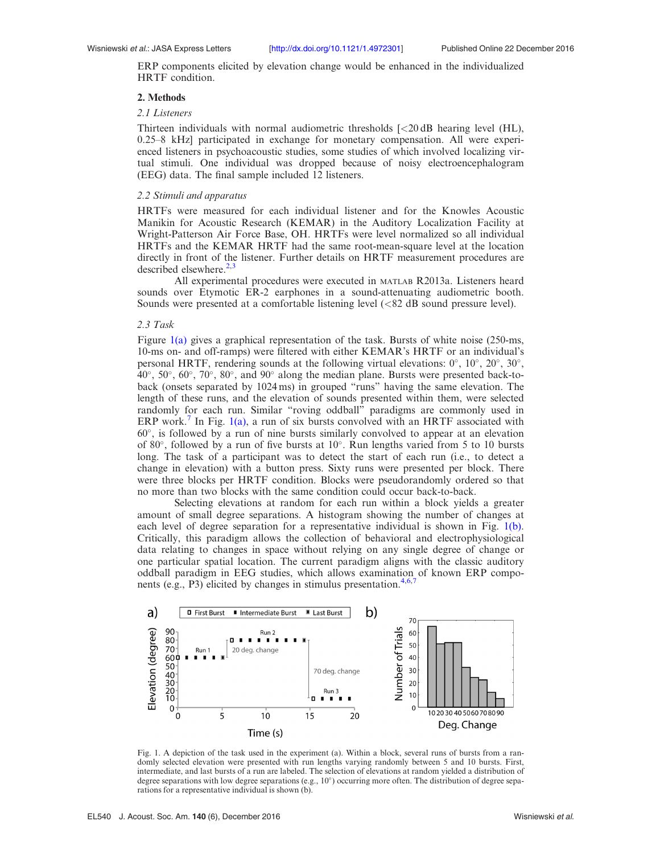ERP components elicited by elevation change would be enhanced in the individualized HRTF condition.

# 2. Methods

# 2.1 Listeners

Thirteen individuals with normal audiometric thresholds  $\approx$  (20 dB hearing level (HL), 0.25–8 kHz] participated in exchange for monetary compensation. All were experienced listeners in psychoacoustic studies, some studies of which involved localizing virtual stimuli. One individual was dropped because of noisy electroencephalogram (EEG) data. The final sample included 12 listeners.

# 2.2 Stimuli and apparatus

HRTFs were measured for each individual listener and for the Knowles Acoustic Manikin for Acoustic Research (KEMAR) in the Auditory Localization Facility at Wright-Patterson Air Force Base, OH. HRTFs were level normalized so all individual HRTFs and the KEMAR HRTF had the same root-mean-square level at the location directly in front of the listener. Further details on HRTF measurement procedures are described elsewhere. $2,3$ 

All experimental procedures were executed in MATLAB R2013a. Listeners heard sounds over Etymotic ER-2 earphones in a sound-attenuating audiometric booth. Sounds were presented at a comfortable listening level (<82 dB sound pressure level).

# 2.3 Task

Figure 1(a) gives a graphical representation of the task. Bursts of white noise (250-ms, 10-ms on- and off-ramps) were filtered with either KEMAR's HRTF or an individual's personal HRTF, rendering sounds at the following virtual elevations:  $0^\circ$ ,  $10^\circ$ ,  $20^\circ$ ,  $30^\circ$ ,  $40^\circ$ ,  $50^\circ$ ,  $60^\circ$ ,  $70^\circ$ ,  $80^\circ$ , and  $90^\circ$  along the median plane. Bursts were presented back-toback (onsets separated by 1024 ms) in grouped "runs" having the same elevation. The length of these runs, and the elevation of sounds presented within them, were selected randomly for each run. Similar "roving oddball" paradigms are commonly used in ERP work.<sup>7</sup> In Fig. 1(a), a run of six bursts convolved with an HRTF associated with  $60^\circ$ , is followed by a run of nine bursts similarly convolved to appear at an elevation of 80 $\degree$ , followed by a run of five bursts at 10 $\degree$ . Run lengths varied from 5 to 10 bursts long. The task of a participant was to detect the start of each run (i.e., to detect a change in elevation) with a button press. Sixty runs were presented per block. There were three blocks per HRTF condition. Blocks were pseudorandomly ordered so that no more than two blocks with the same condition could occur back-to-back.

Selecting elevations at random for each run within a block yields a greater amount of small degree separations. A histogram showing the number of changes at each level of degree separation for a representative individual is shown in Fig. 1(b). Critically, this paradigm allows the collection of behavioral and electrophysiological data relating to changes in space without relying on any single degree of change or one particular spatial location. The current paradigm aligns with the classic auditory oddball paradigm in EEG studies, which allows examination of known ERP components (e.g., P3) elicited by changes in stimulus presentation.<sup>4,6,7</sup>



Fig. 1. A depiction of the task used in the experiment (a). Within a block, several runs of bursts from a randomly selected elevation were presented with run lengths varying randomly between 5 and 10 bursts. First, intermediate, and last bursts of a run are labeled. The selection of elevations at random yielded a distribution of degree separations with low degree separations (e.g.,  $10^{\circ}$ ) occurring more often. The distribution of degree separations for a representative individual is shown (b).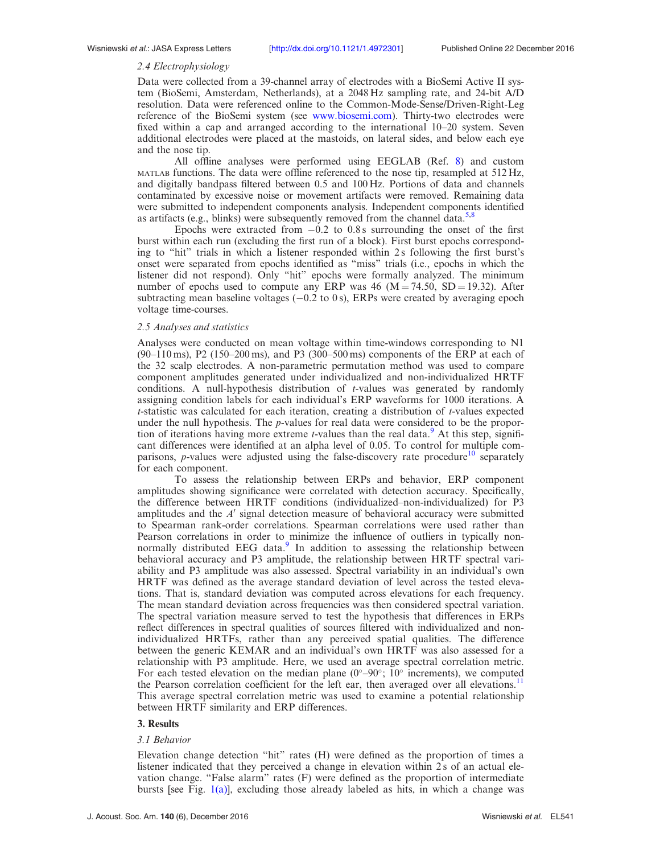# 2.4 Electrophysiology

Data were collected from a 39-channel array of electrodes with a BioSemi Active II system (BioSemi, Amsterdam, Netherlands), at a 2048 Hz sampling rate, and 24-bit A/D resolution. Data were referenced online to the Common-Mode-Sense/Driven-Right-Leg reference of the BioSemi system (see www.biosemi.com). Thirty-two electrodes were fixed within a cap and arranged according to the international 10–20 system. Seven additional electrodes were placed at the mastoids, on lateral sides, and below each eye and the nose tip.

All offline analyses were performed using EEGLAB (Ref. 8) and custom MATLAB functions. The data were offline referenced to the nose tip, resampled at 512 Hz, and digitally bandpass filtered between 0.5 and 100 Hz. Portions of data and channels contaminated by excessive noise or movement artifacts were removed. Remaining data were submitted to independent components analysis. Independent components identified as artifacts (e.g., blinks) were subsequently removed from the channel data.<sup>5,8</sup>

Epochs were extracted from  $-0.2$  to 0.8 s surrounding the onset of the first burst within each run (excluding the first run of a block). First burst epochs corresponding to "hit" trials in which a listener responded within 2 s following the first burst's onset were separated from epochs identified as "miss" trials (i.e., epochs in which the listener did not respond). Only "hit" epochs were formally analyzed. The minimum number of epochs used to compute any ERP was 46 ( $M = 74.50$ , SD = 19.32). After subtracting mean baseline voltages  $(-0.2 \text{ to } 0 \text{ s})$ , ERPs were created by averaging epoch voltage time-courses.

# 2.5 Analyses and statistics

Analyses were conducted on mean voltage within time-windows corresponding to N1 (90–110 ms), P2 (150–200 ms), and P3 (300–500 ms) components of the ERP at each of the 32 scalp electrodes. A non-parametric permutation method was used to compare component amplitudes generated under individualized and non-individualized HRTF conditions. A null-hypothesis distribution of t-values was generated by randomly assigning condition labels for each individual's ERP waveforms for 1000 iterations. A  $t$ -statistic was calculated for each iteration, creating a distribution of  $t$ -values expected under the null hypothesis. The p-values for real data were considered to be the proportion of iterations having more extreme *t*-values than the real data.<sup>9</sup> At this step, significant differences were identified at an alpha level of 0.05. To control for multiple comparisons, *p*-values were adjusted using the false-discovery rate procedure<sup>10</sup> separately for each component.

To assess the relationship between ERPs and behavior, ERP component amplitudes showing significance were correlated with detection accuracy. Specifically, the difference between HRTF conditions (individualized–non-individualized) for P3 amplitudes and the  $A'$  signal detection measure of behavioral accuracy were submitted to Spearman rank-order correlations. Spearman correlations were used rather than Pearson correlations in order to minimize the influence of outliers in typically nonnormally distributed EEG data.<sup>9</sup> In addition to assessing the relationship between behavioral accuracy and P3 amplitude, the relationship between HRTF spectral variability and P3 amplitude was also assessed. Spectral variability in an individual's own HRTF was defined as the average standard deviation of level across the tested elevations. That is, standard deviation was computed across elevations for each frequency. The mean standard deviation across frequencies was then considered spectral variation. The spectral variation measure served to test the hypothesis that differences in ERPs reflect differences in spectral qualities of sources filtered with individualized and nonindividualized HRTFs, rather than any perceived spatial qualities. The difference between the generic KEMAR and an individual's own HRTF was also assessed for a relationship with P3 amplitude. Here, we used an average spectral correlation metric. For each tested elevation on the median plane  $(0^{\circ}-90^{\circ}; 10^{\circ})$  increments), we computed the Pearson correlation coefficient for the left ear, then averaged over all elevations.<sup>11</sup> This average spectral correlation metric was used to examine a potential relationship between HRTF similarity and ERP differences.

## 3. Results

# 3.1 Behavior

Elevation change detection "hit" rates (H) were defined as the proportion of times a listener indicated that they perceived a change in elevation within 2 s of an actual elevation change. "False alarm" rates (F) were defined as the proportion of intermediate bursts [see Fig. 1(a)], excluding those already labeled as hits, in which a change was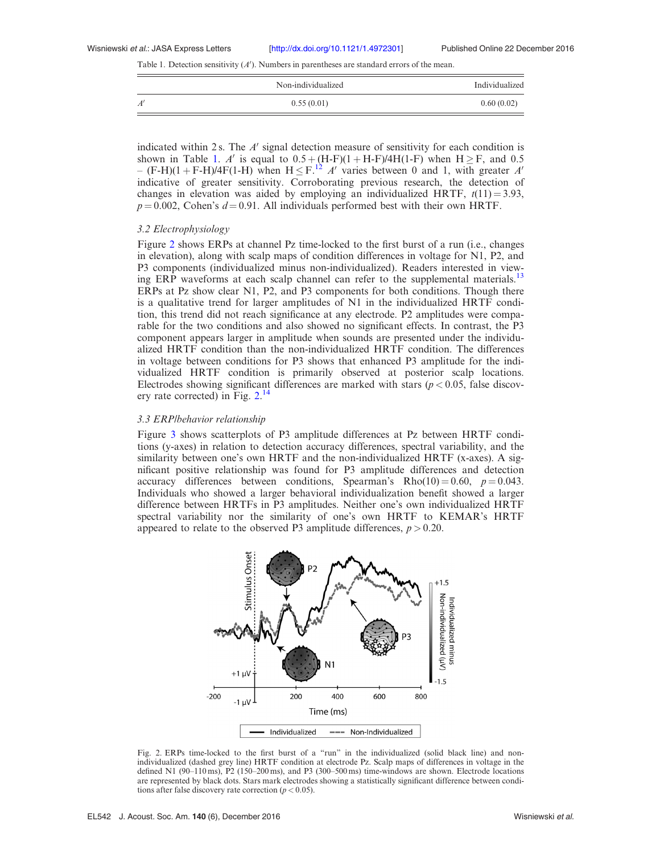Table 1. Detection sensitivity  $(A')$ . Numbers in parentheses are standard errors of the mean.

|    | Non-individualized | Individualized |
|----|--------------------|----------------|
| A' | 0.55(0.01)         | 0.60(0.02)     |

indicated within 2 s. The  $A'$  signal detection measure of sensitivity for each condition is shown in Table 1. A' is equal to  $0.5 + (H-F)(1 + H-F)/4H(1-F)$  when  $H \geq F$ , and 0.5 –  $(F-H)(1 + F-H)/4F(1-H)$  when  $H \le F<sup>12</sup>$  A' varies between 0 and 1, with greater A' indicative of greater sensitivity. Corroborating previous research, the detection of changes in elevation was aided by employing an individualized HRTF,  $t(11) = 3.93$ ,  $p = 0.002$ , Cohen's  $d = 0.91$ . All individuals performed best with their own HRTF.

## 3.2 Electrophysiology

Figure 2 shows ERPs at channel Pz time-locked to the first burst of a run (i.e., changes in elevation), along with scalp maps of condition differences in voltage for N1, P2, and P3 components (individualized minus non-individualized). Readers interested in viewing ERP waveforms at each scalp channel can refer to the supplemental materials.<sup>13</sup> ERPs at Pz show clear N1, P2, and P3 components for both conditions. Though there is a qualitative trend for larger amplitudes of N1 in the individualized HRTF condition, this trend did not reach significance at any electrode. P2 amplitudes were comparable for the two conditions and also showed no significant effects. In contrast, the P3 component appears larger in amplitude when sounds are presented under the individualized HRTF condition than the non-individualized HRTF condition. The differences in voltage between conditions for P3 shows that enhanced P3 amplitude for the individualized HRTF condition is primarily observed at posterior scalp locations. Electrodes showing significant differences are marked with stars ( $p < 0.05$ , false discovery rate corrected) in Fig. 2.<sup>14</sup>

# 3.3 ERP/behavior relationship

Figure 3 shows scatterplots of P3 amplitude differences at Pz between HRTF conditions (y-axes) in relation to detection accuracy differences, spectral variability, and the similarity between one's own HRTF and the non-individualized HRTF (x-axes). A significant positive relationship was found for P3 amplitude differences and detection accuracy differences between conditions, Spearman's Rho(10) = 0.60,  $p = 0.043$ . Individuals who showed a larger behavioral individualization benefit showed a larger difference between HRTFs in P3 amplitudes. Neither one's own individualized HRTF spectral variability nor the similarity of one's own HRTF to KEMAR's HRTF appeared to relate to the observed P3 amplitude differences,  $p > 0.20$ .



Fig. 2. ERPs time-locked to the first burst of a "run" in the individualized (solid black line) and nonindividualized (dashed grey line) HRTF condition at electrode Pz. Scalp maps of differences in voltage in the defined N1 (90–110 ms), P2 (150–200 ms), and P3 (300–500 ms) time-windows are shown. Electrode locations are represented by black dots. Stars mark electrodes showing a statistically significant difference between conditions after false discovery rate correction ( $p < 0.05$ ).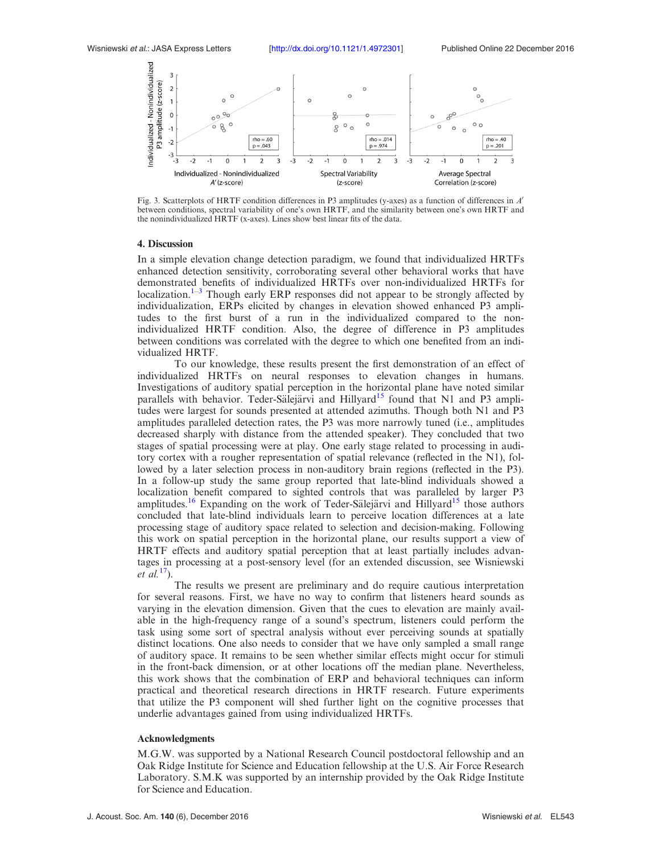

Fig. 3. Scatterplots of HRTF condition differences in P3 amplitudes (y-axes) as a function of differences in  $A'$ between conditions, spectral variability of one's own HRTF, and the similarity between one's own HRTF and the nonindividualized HRTF (x-axes). Lines show best linear fits of the data.

#### 4. Discussion

In a simple elevation change detection paradigm, we found that individualized HRTFs enhanced detection sensitivity, corroborating several other behavioral works that have demonstrated benefits of individualized HRTFs over non-individualized HRTFs for localization.<sup>1–3</sup> Though early ERP responses did not appear to be strongly affected by individualization, ERPs elicited by changes in elevation showed enhanced P3 amplitudes to the first burst of a run in the individualized compared to the nonindividualized HRTF condition. Also, the degree of difference in P3 amplitudes between conditions was correlated with the degree to which one benefited from an individualized HRTF.

To our knowledge, these results present the first demonstration of an effect of individualized HRTFs on neural responses to elevation changes in humans. Investigations of auditory spatial perception in the horizontal plane have noted similar parallels with behavior. Teder-Sälejärvi and Hillyard<sup>15</sup> found that N1 and P3 amplitudes were largest for sounds presented at attended azimuths. Though both N1 and P3 amplitudes paralleled detection rates, the P3 was more narrowly tuned (i.e., amplitudes decreased sharply with distance from the attended speaker). They concluded that two stages of spatial processing were at play. One early stage related to processing in auditory cortex with a rougher representation of spatial relevance (reflected in the N1), followed by a later selection process in non-auditory brain regions (reflected in the P3). In a follow-up study the same group reported that late-blind individuals showed a localization benefit compared to sighted controls that was paralleled by larger P3 amplitudes.<sup>16</sup> Expanding on the work of Teder-Sälejärvi and Hillyard<sup>15</sup> those authors concluded that late-blind individuals learn to perceive location differences at a late processing stage of auditory space related to selection and decision-making. Following this work on spatial perception in the horizontal plane, our results support a view of HRTF effects and auditory spatial perception that at least partially includes advantages in processing at a post-sensory level (for an extended discussion, see Wisniewski et  $al.17$ ).

The results we present are preliminary and do require cautious interpretation for several reasons. First, we have no way to confirm that listeners heard sounds as varying in the elevation dimension. Given that the cues to elevation are mainly available in the high-frequency range of a sound's spectrum, listeners could perform the task using some sort of spectral analysis without ever perceiving sounds at spatially distinct locations. One also needs to consider that we have only sampled a small range of auditory space. It remains to be seen whether similar effects might occur for stimuli in the front-back dimension, or at other locations off the median plane. Nevertheless, this work shows that the combination of ERP and behavioral techniques can inform practical and theoretical research directions in HRTF research. Future experiments that utilize the P3 component will shed further light on the cognitive processes that underlie advantages gained from using individualized HRTFs.

## Acknowledgments

M.G.W. was supported by a National Research Council postdoctoral fellowship and an Oak Ridge Institute for Science and Education fellowship at the U.S. Air Force Research Laboratory. S.M.K was supported by an internship provided by the Oak Ridge Institute for Science and Education.